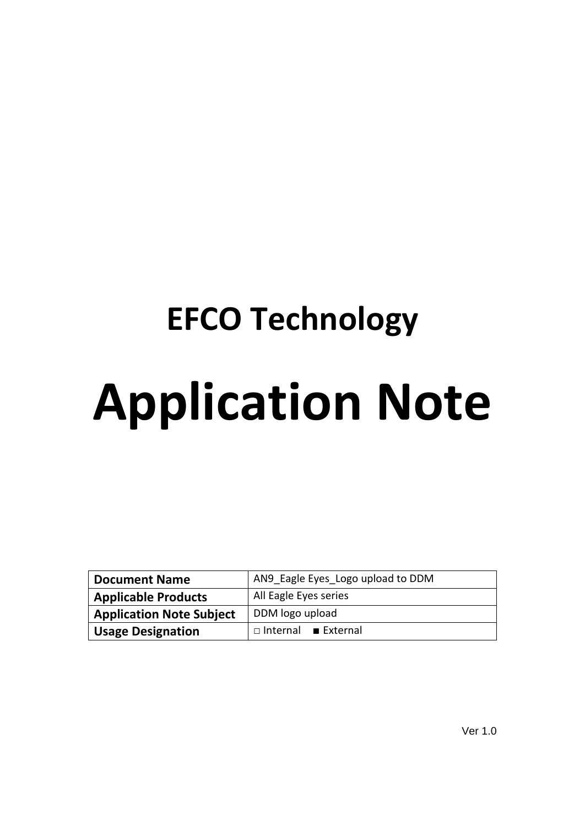# **EFCO Technology Application Note**

| <b>Document Name</b>            | AN9 Eagle Eyes Logo upload to DDM |  |  |  |  |  |  |  |  |
|---------------------------------|-----------------------------------|--|--|--|--|--|--|--|--|
| <b>Applicable Products</b>      | All Eagle Eyes series             |  |  |  |  |  |  |  |  |
| <b>Application Note Subject</b> | DDM logo upload                   |  |  |  |  |  |  |  |  |
| <b>Usage Designation</b>        | $\Box$ Internal External          |  |  |  |  |  |  |  |  |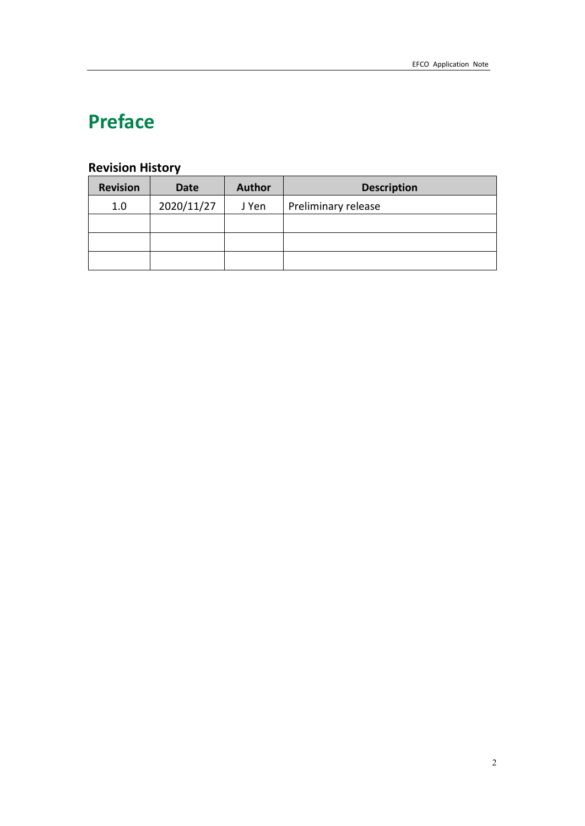# **Preface**

# **Revision History**

| <b>Revision</b> | Date       | <b>Author</b> | <b>Description</b>  |
|-----------------|------------|---------------|---------------------|
| 1.0             | 2020/11/27 | J Yen         | Preliminary release |
|                 |            |               |                     |
|                 |            |               |                     |
|                 |            |               |                     |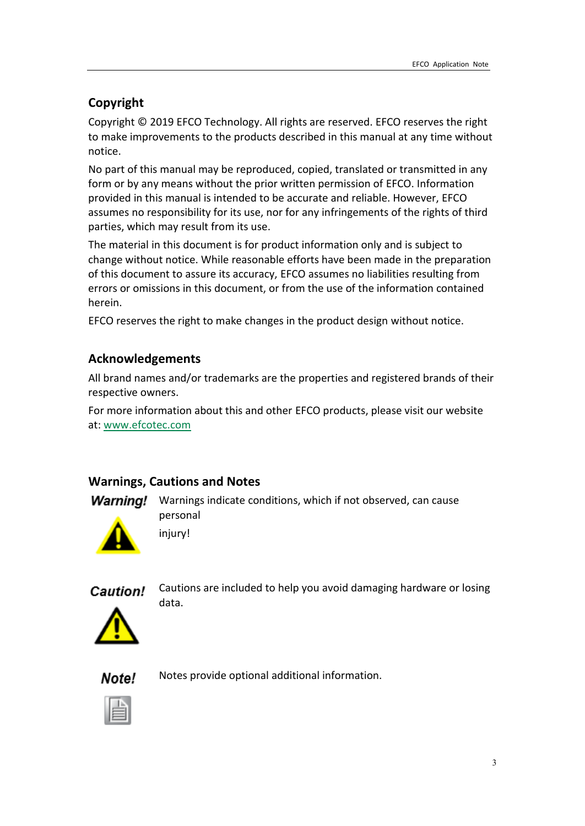# **Copyright**

Copyright © 2019 EFCO Technology. All rights are reserved. EFCO reserves the right to make improvements to the products described in this manual at any time without notice.

No part of this manual may be reproduced, copied, translated or transmitted in any form or by any means without the prior written permission of EFCO. Information provided in this manual is intended to be accurate and reliable. However, EFCO assumes no responsibility for its use, nor for any infringements of the rights of third parties, which may result from its use.

The material in this document is for product information only and is subject to change without notice. While reasonable efforts have been made in the preparation of this document to assure its accuracy, EFCO assumes no liabilities resulting from errors or omissions in this document, or from the use of the information contained herein.

EFCO reserves the right to make changes in the product design without notice.

#### **Acknowledgements**

All brand names and/or trademarks are the properties and registered brands of their respective owners.

For more information about this and other EFCO products, please visit our website at: [www.efcotec.com](file:///C:/Users/PattyWu/Documents/Manual/DMCT/www.efcotec.com)

#### **Warnings, Cautions and Notes**

injury!

**Warning!** Warnings indicate conditions, which if not observed, can cause personal



Caution!

Cautions are included to help you avoid damaging hardware or losing data.



Note! Notes provide optional additional information.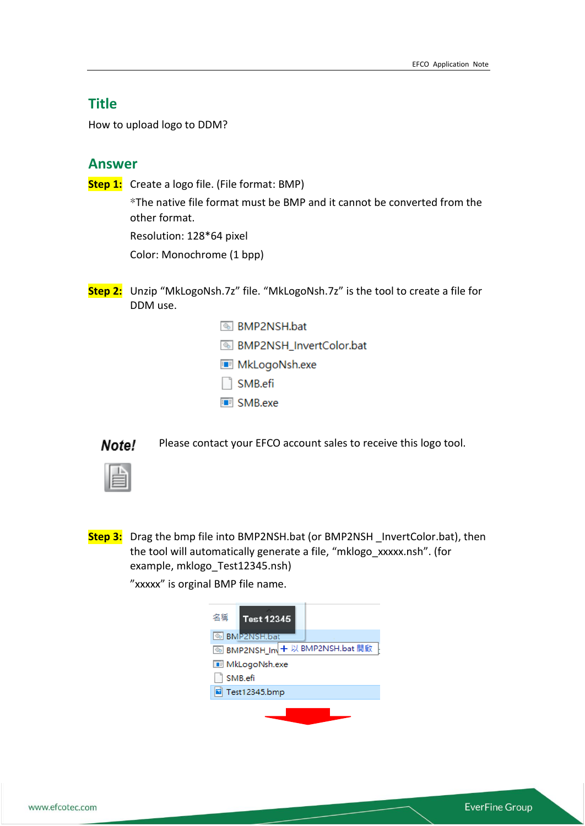### **Title**

How to upload logo to DDM?

#### **Answer**

**Step 1:** Create a logo file. (File format: BMP)

\*The native file format must be BMP and it cannot be converted from the other format.

Resolution: 128\*64 pixel

Color: Monochrome (1 bpp)

- **Step 2:** Unzip "MkLogoNsh.7z" file. "MkLogoNsh.7z" is the tool to create a file for DDM use.
	- **S** BMP2NSH.bat **S** BMP2NSH\_InvertColor.bat
	- MkLogoNsh.exe
	- $\Box$  SMB.efi
	- **E** SMB.exe

Note!

Please contact your EFCO account sales to receive this logo tool.

**Step 3:** Drag the bmp file into BMP2NSH.bat (or BMP2NSH \_InvertColor.bat), then the tool will automatically generate a file, "mklogo\_xxxxx.nsh". (for example, mklogo\_Test12345.nsh)

"xxxxx" is orginal BMP file name.

| 名稱<br><b>Test 12345</b>               |
|---------------------------------------|
| <b>S</b> BMP2NSH.bat                  |
| <b>⑥BMP2NSH_In + 以 BMP2NSH.bat 開啟</b> |
| <b>BE</b> MkLogoNsh.exe               |
| SMB.efi                               |
| Test12345.bmp                         |
|                                       |
|                                       |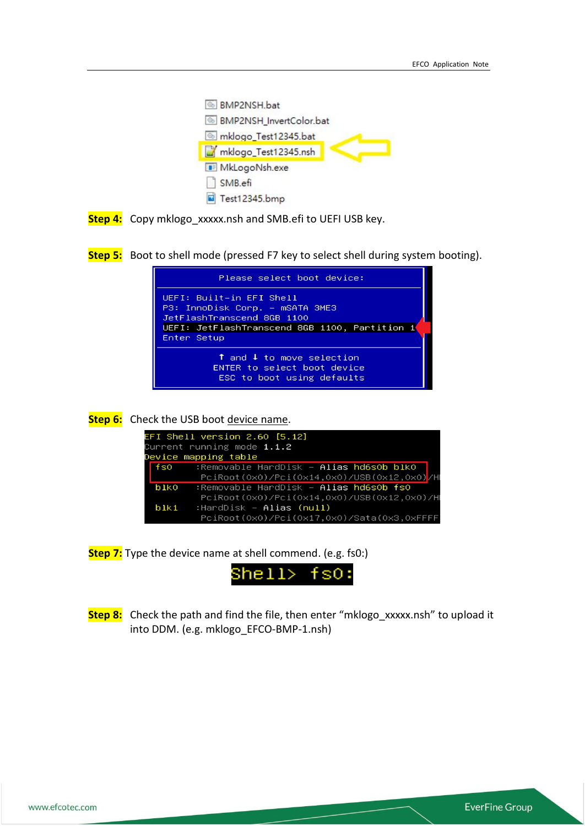



**Step 5:** Boot to shell mode (pressed F7 key to select shell during system booting).



**Step 6:** Check the USB boot device name.

|                   | EFI Shell version 2.60 [5.12]<br>Current running mode $1.1.2$<br>Device mapping table |
|-------------------|---------------------------------------------------------------------------------------|
| fso               | :Removable HardDisk — Alias hd6sOb blkO                                               |
|                   | PciRoot(0x0)/Pci(0x14,0x0)/USB(0x12,0x0)/H                                            |
| blko              | :Removable HardDisk – Alias hd6sOb fsO                                                |
|                   | PciRoot(0x0)/Pci(0x14,0x0)/USB(0x12,0x0)/H                                            |
| $b$ <sub>k1</sub> | :HardDisk – <b>Alias (null)</b>                                                       |
|                   | PciRoot(0x0)/Pci(0x17,0x0)/Sata(0x3,0xFFFF                                            |

**Step 7:** Type the device name at shell commend. (e.g. fs0:)



**Step 8:** Check the path and find the file, then enter "mklogo\_xxxxx.nsh" to upload it into DDM. (e.g. mklogo\_EFCO-BMP-1.nsh)